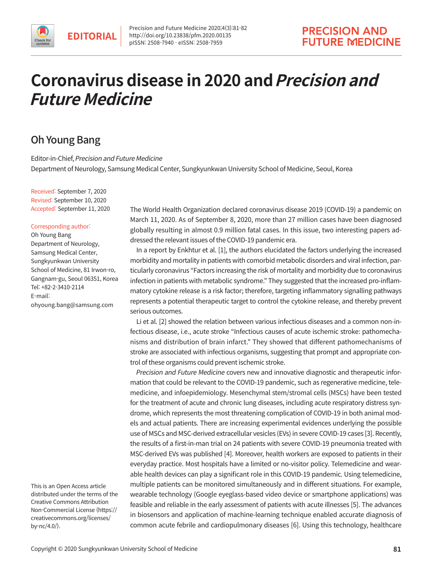# **Coronavirus disease in 2020 and Precision and Future Medicine**

# Oh Young Bang

Editor-in-Chief, Precision and Future Medicine Department of Neurology, Samsung Medical Center, Sungkyunkwan University School of Medicine, Seoul, Korea

Received: September 7, 2020 Revised: September 10, 2020 Accepted: September 11, 2020

#### Corresponding author:

Oh Young Bang Department of Neurology, Samsung Medical Center, Sungkyunkwan University School of Medicine, 81 Irwon-ro, Gangnam-gu, Seoul 06351, Korea Tel: +82-2-3410-2114 E-mail: ohyoung.bang@samsung.com

This is an Open Access article distributed under the terms of the Creative Commons Attribution Non-Commercial License (https:// creativecommons.org/licenses/ by-nc/4.0/).

The World Health Organization declared coronavirus disease 2019 (COVID-19) a pandemic on March 11, 2020. As of September 8, 2020, more than 27 million cases have been diagnosed globally resulting in almost 0.9 million fatal cases. In this issue, two interesting papers addressed the relevant issues of the COVID-19 pandemic era.

In a report by Enkhtur et al. [1], the authors elucidated the factors underlying the increased morbidity and mortality in patients with comorbid metabolic disorders and viral infection, particularly coronavirus "Factors increasing the risk of mortality and morbidity due to coronavirus infection in patients with metabolic syndrome." They suggested that the increased pro-inflammatory cytokine release is a risk factor; therefore, targeting inflammatory signalling pathways represents a potential therapeutic target to control the cytokine release, and thereby prevent serious outcomes.

Li et al. [2] showed the relation between various infectious diseases and a common non-infectious disease, i.e., acute stroke "Infectious causes of acute ischemic stroke: pathomechanisms and distribution of brain infarct." They showed that different pathomechanisms of stroke are associated with infectious organisms, suggesting that prompt and appropriate control of these organisms could prevent ischemic stroke.

Precision and Future Medicine covers new and innovative diagnostic and therapeutic information that could be relevant to the COVID-19 pandemic, such as regenerative medicine, telemedicine, and infoepidemiology. Mesenchymal stem/stromal cells (MSCs) have been tested for the treatment of acute and chronic lung diseases, including acute respiratory distress syndrome, which represents the most threatening complication of COVID-19 in both animal models and actual patients. There are increasing experimental evidences underlying the possible use of MSCs and MSC-derived extracellular vesicles (EVs) in severe COVID-19 cases [3]. Recently, the results of a first-in-man trial on 24 patients with severe COVID-19 pneumonia treated with MSC-derived EVs was published [4]. Moreover, health workers are exposed to patients in their everyday practice. Most hospitals have a limited or no-visitor policy. Telemedicine and wearable health devices can play a significant role in this COVID-19 pandemic. Using telemedicine, multiple patients can be monitored simultaneously and in different situations. For example, wearable technology (Google eyeglass-based video device or smartphone applications) was feasible and reliable in the early assessment of patients with acute illnesses [5]. The advances in biosensors and application of machine-learning technique enabled accurate diagnosis of common acute febrile and cardiopulmonary diseases [6]. Using this technology, healthcare